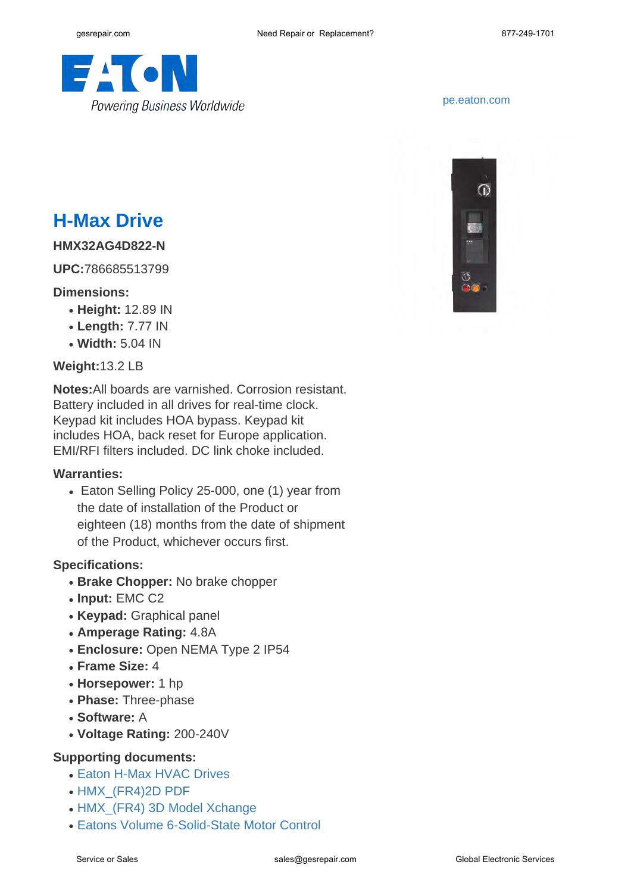

# **H-Max Drive**

### **HMX32AG4D822-N**

**UPC:**786685513799

#### **Dimensions:**

- **Height:** 12.89 IN
- **Length:** 7.77 IN
- **Width:** 5.04 IN

## **Weight:**13.2 LB

**Notes:**All boards are varnished. Corrosion resistant. Battery included in all drives for real-time clock. Keypad kit includes HOA bypass. Keypad kit includes HOA, back reset for Europe application. EMI/RFI filters included. DC link choke included.

#### **Warranties:**

• Eaton Selling Policy 25-000, one (1) year from the date of installation of the Product or eighteen (18) months from the date of shipment of the Product, whichever occurs first.

### **Specifications:**

- Brake Chopper: No brake chopper
- **Input:** EMC C2
- **Keypad:** Graphical panel
- **Amperage Rating:** 4.8A
- **Enclosure:** Open NEMA Type 2 IP54
- **Frame Size:** 4
- **Horsepower:** 1 hp
- **Phase:** Three-phase
- **Software:** A
- **Voltage Rating:** 200-240V

## **Supporting documents:**

- [Eaton H-Max HVAC Drives](http://www.eaton.com/ecm/idcplg?IdcService=GET_FILE&allowInterrupt=1&RevisionSelectionMethod=LatestReleased&noSaveAs=0&Rendition=Primary&dDocName=PA040001EN)
- HMX (FR4)2D PDF
- HMX (FR4) 3D Model Xchange
- Fatons Volume 6-Solid-State Motor Control



<pe.eaton.com>